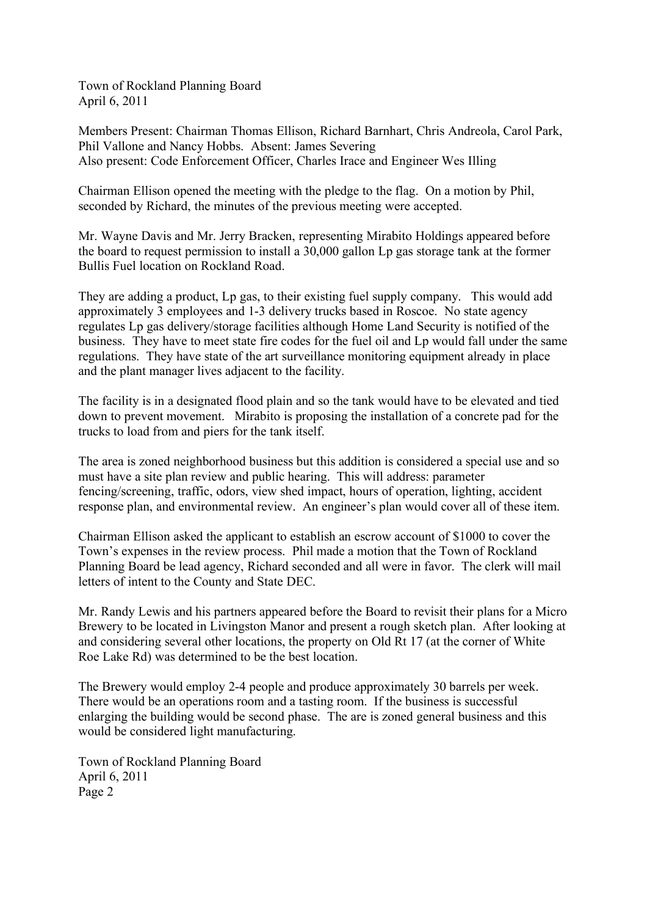Town of Rockland Planning Board April 6, 2011

Members Present: Chairman Thomas Ellison, Richard Barnhart, Chris Andreola, Carol Park, Phil Vallone and Nancy Hobbs. Absent: James Severing Also present: Code Enforcement Officer, Charles Irace and Engineer Wes Illing

Chairman Ellison opened the meeting with the pledge to the flag. On a motion by Phil, seconded by Richard, the minutes of the previous meeting were accepted.

Mr. Wayne Davis and Mr. Jerry Bracken, representing Mirabito Holdings appeared before the board to request permission to install a 30,000 gallon Lp gas storage tank at the former Bullis Fuel location on Rockland Road.

They are adding a product, Lp gas, to their existing fuel supply company. This would add approximately 3 employees and 1-3 delivery trucks based in Roscoe. No state agency regulates Lp gas delivery/storage facilities although Home Land Security is notified of the business. They have to meet state fire codes for the fuel oil and Lp would fall under the same regulations. They have state of the art surveillance monitoring equipment already in place and the plant manager lives adjacent to the facility.

The facility is in a designated flood plain and so the tank would have to be elevated and tied down to prevent movement. Mirabito is proposing the installation of a concrete pad for the trucks to load from and piers for the tank itself.

The area is zoned neighborhood business but this addition is considered a special use and so must have a site plan review and public hearing. This will address: parameter fencing/screening, traffic, odors, view shed impact, hours of operation, lighting, accident response plan, and environmental review. An engineer's plan would cover all of these item.

Chairman Ellison asked the applicant to establish an escrow account of \$1000 to cover the Town's expenses in the review process. Phil made a motion that the Town of Rockland Planning Board be lead agency, Richard seconded and all were in favor. The clerk will mail letters of intent to the County and State DEC.

Mr. Randy Lewis and his partners appeared before the Board to revisit their plans for a Micro Brewery to be located in Livingston Manor and present a rough sketch plan. After looking at and considering several other locations, the property on Old Rt 17 (at the corner of White Roe Lake Rd) was determined to be the best location.

The Brewery would employ 2-4 people and produce approximately 30 barrels per week. There would be an operations room and a tasting room. If the business is successful enlarging the building would be second phase. The are is zoned general business and this would be considered light manufacturing.

Town of Rockland Planning Board April 6, 2011 Page 2